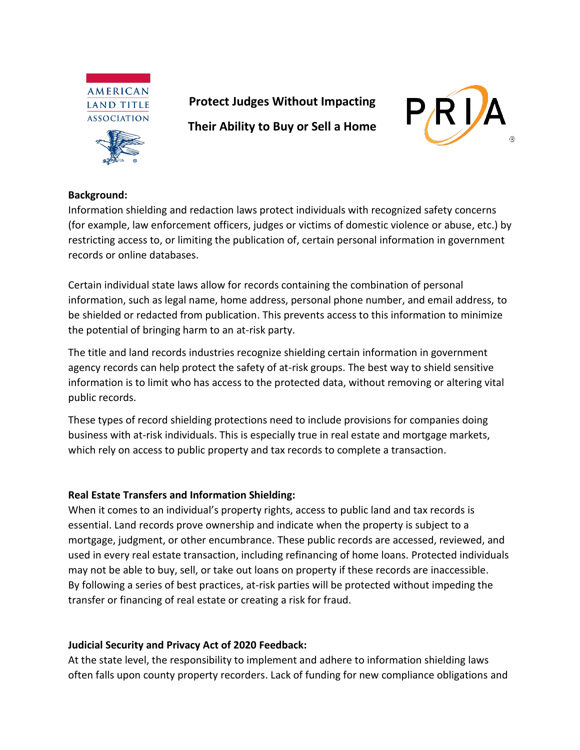



**Protect Judges Without Impacting** 

**Their Ability to Buy or Sell a Home**



## **Background:**

Information shielding and redaction laws protect individuals with recognized safety concerns (for example, law enforcement officers, judges or victims of domestic violence or abuse, etc.) by restricting access to, or limiting the publication of, certain personal information in government records or online databases.

Certain individual state laws allow for records containing the combination of personal information, such as legal name, home address, personal phone number, and email address, to be shielded or redacted from publication. This prevents access to this information to minimize the potential of bringing harm to an at-risk party.

The title and land records industries recognize shielding certain information in government agency records can help protect the safety of at-risk groups. The best way to shield sensitive information is to limit who has access to the protected data, without removing or altering vital public records.

These types of record shielding protections need to include provisions for companies doing business with at-risk individuals. This is especially true in real estate and mortgage markets, which rely on access to public property and tax records to complete a transaction.

## **Real Estate Transfers and Information Shielding:**

When it comes to an individual's property rights, access to public land and tax records is essential. Land records prove ownership and indicate when the property is subject to a mortgage, judgment, or other encumbrance. These public records are accessed, reviewed, and used in every real estate transaction, including refinancing of home loans. Protected individuals may not be able to buy, sell, or take out loans on property if these records are inaccessible. By following a series of best practices, at-risk parties will be protected without impeding the transfer or financing of real estate or creating a risk for fraud.

## **Judicial Security and Privacy Act of 2020 Feedback:**

At the state level, the responsibility to implement and adhere to information shielding laws often falls upon county property recorders. Lack of funding for new compliance obligations and